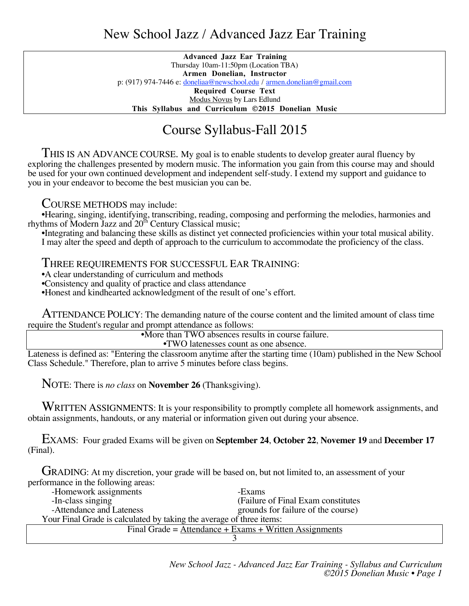## New School Jazz / Advanced Jazz Ear Training

**Advanced Jazz Ear Training** Thursday 10am-11:50pm (Location TBA) **Armen Donelian, Instructor** p: (917) 974-7446 e: doneliaa@newschool.edu / armen.donelian@gmail.com

**Required Course Text** Modus Novus by Lars Edlund

**This Syllabus and Curriculum ©2015 Donelian Music**

## Course Syllabus-Fall 2015

THIS IS AN ADVANCE COURSE. My goal is to enable students to develop greater aural fluency by exploring the challenges presented by modern music. The information you gain from this course may and should be used for your own continued development and independent self-study. I extend my support and guidance to you in your endeavor to become the best musician you can be.

COURSE METHODS may include:

•Hearing, singing, identifying, transcribing, reading, composing and performing the melodies, harmonies and rhythms of Modern Jazz and  $20<sup>th</sup>$  Century Classical music;

•Integrating and balancing these skills as distinct yet connected proficiencies within your total musical ability. I may alter the speed and depth of approach to the curriculum to accommodate the proficiency of the class.

THREE REQUIREMENTS FOR SUCCESSFUL EAR TRAINING:

•A clear understanding of curriculum and methods

•Consistency and quality of practice and class attendance

•Honest and kindhearted acknowledgment of the result of one's effort.

ATTENDANCE POLICY: The demanding nature of the course content and the limited amount of class time require the Student's regular and prompt attendance as follows:

> •More than TWO absences results in course failure. •TWO latenesses count as one absence.

Lateness is defined as: "Entering the classroom anytime after the starting time (10am) published in the New School Class Schedule." Therefore, plan to arrive 5 minutes before class begins.

NOTE: There is *no class* on **November 26** (Thanksgiving).

WRITTEN ASSIGNMENTS: It is your responsibility to promptly complete all homework assignments, and obtain assignments, handouts, or any material or information given out during your absence.

EXAMS: Four graded Exams will be given on **September 24**, **October 22**, **Novemer 19** and **December 17** (Final).

GRADING: At my discretion, your grade will be based on, but not limited to, an assessment of your performance in the following areas:

| -Homework assignments                                                | -Exams                              |
|----------------------------------------------------------------------|-------------------------------------|
| -In-class singing                                                    | (Failure of Final Exam constitutes) |
| -Attendance and Lateness                                             | grounds for failure of the course)  |
| Your Final Grade is calculated by taking the average of three items: |                                     |
| Final Grade = Attendance + Exams + Written Assignments               |                                     |
|                                                                      |                                     |